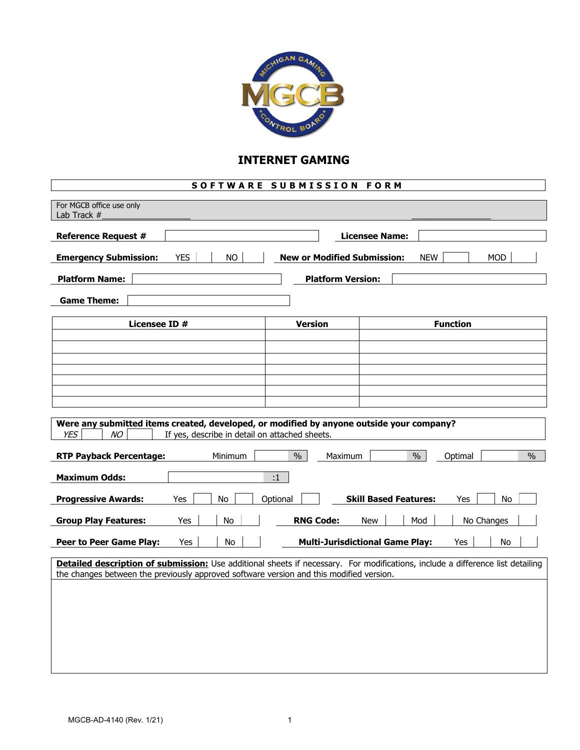

## **INTERNET GAMING**

## **SOFTWARE SUBMISSION FORM**

| For MGCB office use only                                                                                                                                       |                |                                                     |
|----------------------------------------------------------------------------------------------------------------------------------------------------------------|----------------|-----------------------------------------------------|
| Lab Track $#$                                                                                                                                                  |                |                                                     |
| <b>Reference Request #</b>                                                                                                                                     |                | <b>Licensee Name:</b>                               |
|                                                                                                                                                                |                |                                                     |
| <b>YES</b><br><b>Emergency Submission:</b><br><b>NO</b><br><b>New or Modified Submission:</b><br><b>NEW</b><br><b>MOD</b>                                      |                |                                                     |
| <b>Platform Name:</b><br><b>Platform Version:</b>                                                                                                              |                |                                                     |
|                                                                                                                                                                |                |                                                     |
| <b>Game Theme:</b>                                                                                                                                             |                |                                                     |
|                                                                                                                                                                |                |                                                     |
| Licensee ID #                                                                                                                                                  | <b>Version</b> | <b>Function</b>                                     |
|                                                                                                                                                                |                |                                                     |
|                                                                                                                                                                |                |                                                     |
|                                                                                                                                                                |                |                                                     |
|                                                                                                                                                                |                |                                                     |
|                                                                                                                                                                |                |                                                     |
|                                                                                                                                                                |                |                                                     |
|                                                                                                                                                                |                |                                                     |
| Were any submitted items created, developed, or modified by anyone outside your company?<br><b>YES</b><br>NO<br>If yes, describe in detail on attached sheets. |                |                                                     |
|                                                                                                                                                                |                |                                                     |
| $\frac{0}{0}$<br>$\frac{0}{0}$<br>$\frac{0}{0}$<br><b>RTP Payback Percentage:</b><br>Minimum<br>Maximum<br>Optimal                                             |                |                                                     |
|                                                                                                                                                                |                |                                                     |
| <b>Maximum Odds:</b><br>:1                                                                                                                                     |                |                                                     |
| <b>Skill Based Features:</b><br><b>Progressive Awards:</b><br>Optional<br>Yes<br>No.<br>Yes<br>No                                                              |                |                                                     |
|                                                                                                                                                                |                |                                                     |
| <b>RNG Code:</b><br><b>Group Play Features:</b><br>Yes<br>No<br><b>New</b><br>Mod<br>No Changes                                                                |                |                                                     |
|                                                                                                                                                                |                |                                                     |
| <b>Peer to Peer Game Play:</b><br>Yes<br>No                                                                                                                    |                | <b>Multi-Jurisdictional Game Play:</b><br>Yes<br>No |
| Detailed description of submission: Use additional sheets if necessary. For modifications, include a difference list detailing                                 |                |                                                     |
| the changes between the previously approved software version and this modified version.                                                                        |                |                                                     |
|                                                                                                                                                                |                |                                                     |
|                                                                                                                                                                |                |                                                     |
|                                                                                                                                                                |                |                                                     |
|                                                                                                                                                                |                |                                                     |
|                                                                                                                                                                |                |                                                     |
|                                                                                                                                                                |                |                                                     |